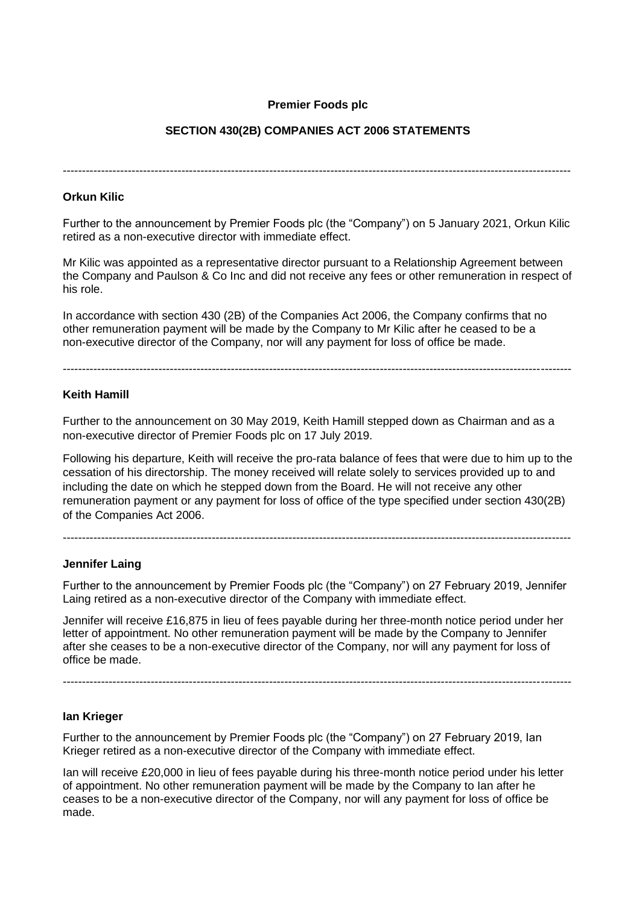# **Premier Foods plc**

# **SECTION 430(2B) COMPANIES ACT 2006 STATEMENTS**

-------------------------------------------------------------------------------------------------------------------------------------

## **Orkun Kilic**

Further to the announcement by Premier Foods plc (the "Company") on 5 January 2021, Orkun Kilic retired as a non-executive director with immediate effect.

Mr Kilic was appointed as a representative director pursuant to a Relationship Agreement between the Company and Paulson & Co Inc and did not receive any fees or other remuneration in respect of his role.

In accordance with section 430 (2B) of the Companies Act 2006, the Company confirms that no other remuneration payment will be made by the Company to Mr Kilic after he ceased to be a non-executive director of the Company, nor will any payment for loss of office be made.

-------------------------------------------------------------------------------------------------------------------------------------

#### **Keith Hamill**

Further to the announcement on 30 May 2019, Keith Hamill stepped down as Chairman and as a non-executive director of Premier Foods plc on 17 July 2019.

Following his departure, Keith will receive the pro-rata balance of fees that were due to him up to the cessation of his directorship. The money received will relate solely to services provided up to and including the date on which he stepped down from the Board. He will not receive any other remuneration payment or any payment for loss of office of the type specified under section 430(2B) of the Companies Act 2006.

-------------------------------------------------------------------------------------------------------------------------------------

#### **Jennifer Laing**

Further to the announcement by Premier Foods plc (the "Company") on 27 February 2019, Jennifer Laing retired as a non-executive director of the Company with immediate effect.

Jennifer will receive £16,875 in lieu of fees payable during her three-month notice period under her letter of appointment. No other remuneration payment will be made by the Company to Jennifer after she ceases to be a non-executive director of the Company, nor will any payment for loss of office be made.

-------------------------------------------------------------------------------------------------------------------------------------

#### **Ian Krieger**

Further to the announcement by Premier Foods plc (the "Company") on 27 February 2019, Ian Krieger retired as a non-executive director of the Company with immediate effect.

Ian will receive £20,000 in lieu of fees payable during his three-month notice period under his letter of appointment. No other remuneration payment will be made by the Company to Ian after he ceases to be a non-executive director of the Company, nor will any payment for loss of office be made.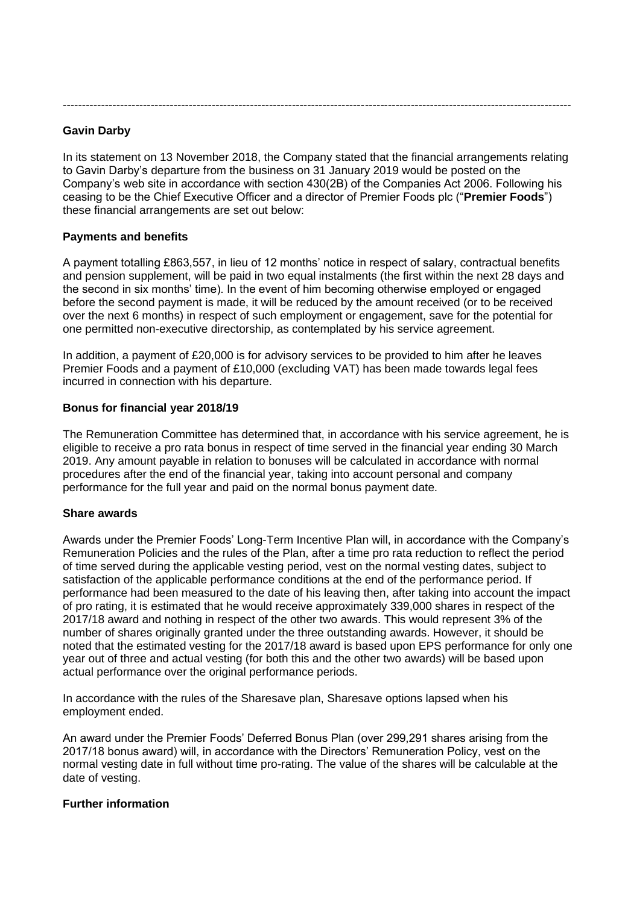-------------------------------------------------------------------------------------------------------------------------------------

## **Gavin Darby**

In its statement on 13 November 2018, the Company stated that the financial arrangements relating to Gavin Darby's departure from the business on 31 January 2019 would be posted on the Company's web site in accordance with section 430(2B) of the Companies Act 2006. Following his ceasing to be the Chief Executive Officer and a director of Premier Foods plc ("**Premier Foods**") these financial arrangements are set out below:

#### **Payments and benefits**

A payment totalling £863,557, in lieu of 12 months' notice in respect of salary, contractual benefits and pension supplement, will be paid in two equal instalments (the first within the next 28 days and the second in six months' time). In the event of him becoming otherwise employed or engaged before the second payment is made, it will be reduced by the amount received (or to be received over the next 6 months) in respect of such employment or engagement, save for the potential for one permitted non-executive directorship, as contemplated by his service agreement.

In addition, a payment of £20,000 is for advisory services to be provided to him after he leaves Premier Foods and a payment of £10,000 (excluding VAT) has been made towards legal fees incurred in connection with his departure.

#### **Bonus for financial year 2018/19**

The Remuneration Committee has determined that, in accordance with his service agreement, he is eligible to receive a pro rata bonus in respect of time served in the financial year ending 30 March 2019. Any amount payable in relation to bonuses will be calculated in accordance with normal procedures after the end of the financial year, taking into account personal and company performance for the full year and paid on the normal bonus payment date.

#### **Share awards**

Awards under the Premier Foods' Long-Term Incentive Plan will, in accordance with the Company's Remuneration Policies and the rules of the Plan, after a time pro rata reduction to reflect the period of time served during the applicable vesting period, vest on the normal vesting dates, subject to satisfaction of the applicable performance conditions at the end of the performance period. If performance had been measured to the date of his leaving then, after taking into account the impact of pro rating, it is estimated that he would receive approximately 339,000 shares in respect of the 2017/18 award and nothing in respect of the other two awards. This would represent 3% of the number of shares originally granted under the three outstanding awards. However, it should be noted that the estimated vesting for the 2017/18 award is based upon EPS performance for only one year out of three and actual vesting (for both this and the other two awards) will be based upon actual performance over the original performance periods.

In accordance with the rules of the Sharesave plan, Sharesave options lapsed when his employment ended.

An award under the Premier Foods' Deferred Bonus Plan (over 299,291 shares arising from the 2017/18 bonus award) will, in accordance with the Directors' Remuneration Policy, vest on the normal vesting date in full without time pro-rating. The value of the shares will be calculable at the date of vesting.

#### **Further information**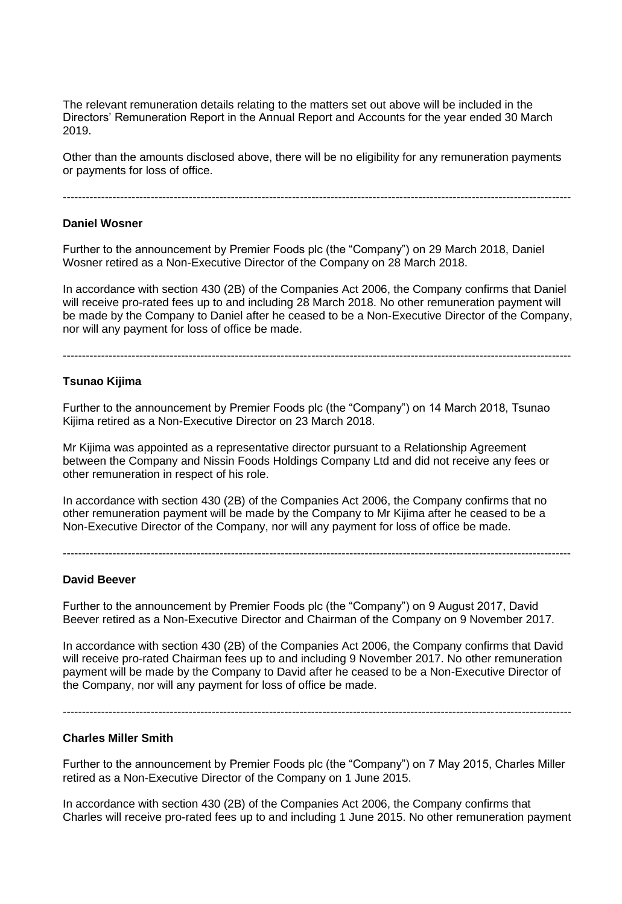The relevant remuneration details relating to the matters set out above will be included in the Directors' Remuneration Report in the Annual Report and Accounts for the year ended 30 March 2019.

Other than the amounts disclosed above, there will be no eligibility for any remuneration payments or payments for loss of office.

-------------------------------------------------------------------------------------------------------------------------------------

#### **Daniel Wosner**

Further to the announcement by Premier Foods plc (the "Company") on 29 March 2018, Daniel Wosner retired as a Non-Executive Director of the Company on 28 March 2018.

In accordance with section 430 (2B) of the Companies Act 2006, the Company confirms that Daniel will receive pro-rated fees up to and including 28 March 2018. No other remuneration payment will be made by the Company to Daniel after he ceased to be a Non-Executive Director of the Company, nor will any payment for loss of office be made.

-------------------------------------------------------------------------------------------------------------------------------------

# **Tsunao Kijima**

Further to the announcement by Premier Foods plc (the "Company") on 14 March 2018, Tsunao Kijima retired as a Non-Executive Director on 23 March 2018.

Mr Kijima was appointed as a representative director pursuant to a Relationship Agreement between the Company and Nissin Foods Holdings Company Ltd and did not receive any fees or other remuneration in respect of his role.

In accordance with section 430 (2B) of the Companies Act 2006, the Company confirms that no other remuneration payment will be made by the Company to Mr Kijima after he ceased to be a Non-Executive Director of the Company, nor will any payment for loss of office be made.

-------------------------------------------------------------------------------------------------------------------------------------

#### **David Beever**

Further to the announcement by Premier Foods plc (the "Company") on 9 August 2017, David Beever retired as a Non-Executive Director and Chairman of the Company on 9 November 2017.

In accordance with section 430 (2B) of the Companies Act 2006, the Company confirms that David will receive pro-rated Chairman fees up to and including 9 November 2017. No other remuneration payment will be made by the Company to David after he ceased to be a Non-Executive Director of the Company, nor will any payment for loss of office be made.

-------------------------------------------------------------------------------------------------------------------------------------

#### **Charles Miller Smith**

Further to the announcement by Premier Foods plc (the "Company") on 7 May 2015, Charles Miller retired as a Non-Executive Director of the Company on 1 June 2015.

In accordance with section 430 (2B) of the Companies Act 2006, the Company confirms that Charles will receive pro-rated fees up to and including 1 June 2015. No other remuneration payment